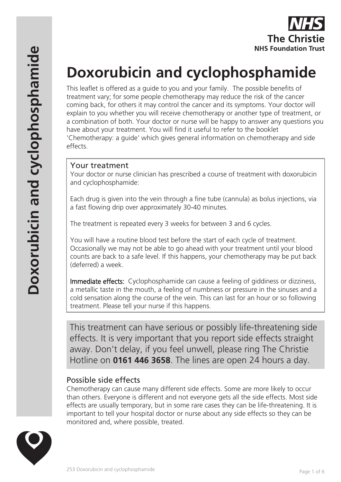

# **Doxorubicin and cyclophosphamide**

This leaflet is offered as a guide to you and your family. The possible benefits of treatment vary; for some people chemotherapy may reduce the risk of the cancer coming back, for others it may control the cancer and its symptoms. Your doctor will explain to you whether you will receive chemotherapy or another type of treatment, or a combination of both. Your doctor or nurse will be happy to answer any questions you have about your treatment. You will find it useful to refer to the booklet 'Chemotherapy: a guide' which gives general information on chemotherapy and side effects.

#### Your treatment

Your doctor or nurse clinician has prescribed a course of treatment with doxorubicin and cyclophosphamide:

Each drug is given into the vein through a fine tube (cannula) as bolus injections, via a fast flowing drip over approximately 30-40 minutes.

The treatment is repeated every 3 weeks for between 3 and 6 cycles.

You will have a routine blood test before the start of each cycle of treatment. Occasionally we may not be able to go ahead with your treatment until your blood counts are back to a safe level. If this happens, your chemotherapy may be put back (deferred) a week.

Immediate effects: Cyclophosphamide can cause a feeling of giddiness or dizziness, a metallic taste in the mouth, a feeling of numbness or pressure in the sinuses and a cold sensation along the course of the vein. This can last for an hour or so following treatment. Please tell your nurse if this happens.

This treatment can have serious or possibly life-threatening side effects. It is very important that you report side effects straight away. Don't delay, if you feel unwell, please ring The Christie Hotline on **0161 446 3658**. The lines are open 24 hours a day.

#### Possible side effects

Chemotherapy can cause many different side effects. Some are more likely to occur than others. Everyone is different and not everyone gets all the side effects. Most side effects are usually temporary, but in some rare cases they can be life-threatening. It is important to tell your hospital doctor or nurse about any side effects so they can be monitored and, where possible, treated.

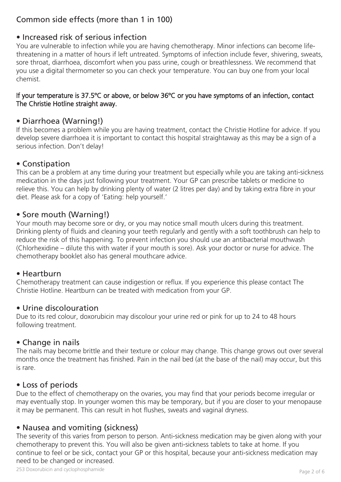# Common side effects (more than 1 in 100)

# • Increased risk of serious infection

You are vulnerable to infection while you are having chemotherapy. Minor infections can become lifethreatening in a matter of hours if left untreated. Symptoms of infection include fever, shivering, sweats, sore throat, diarrhoea, discomfort when you pass urine, cough or breathlessness. We recommend that you use a digital thermometer so you can check your temperature. You can buy one from your local chemist.

#### If your temperature is 37.5ºC or above, or below 36ºC or you have symptoms of an infection, contact The Christie Hotline straight away.

## • Diarrhoea (Warning!)

If this becomes a problem while you are having treatment, contact the Christie Hotline for advice. If you develop severe diarrhoea it is important to contact this hospital straightaway as this may be a sign of a serious infection. Don't delay!

# • Constipation

This can be a problem at any time during your treatment but especially while you are taking anti-sickness medication in the days just following your treatment. Your GP can prescribe tablets or medicine to relieve this. You can help by drinking plenty of water (2 litres per day) and by taking extra fibre in your diet. Please ask for a copy of 'Eating: help yourself.'

# • Sore mouth (Warning!)

Your mouth may become sore or dry, or you may notice small mouth ulcers during this treatment. Drinking plenty of fluids and cleaning your teeth regularly and gently with a soft toothbrush can help to reduce the risk of this happening. To prevent infection you should use an antibacterial mouthwash (Chlorhexidine – dilute this with water if your mouth is sore). Ask your doctor or nurse for advice. The chemotherapy booklet also has general mouthcare advice.

#### • Heartburn

Chemotherapy treatment can cause indigestion or reflux. If you experience this please contact The Christie Hotline. Heartburn can be treated with medication from your GP.

#### • Urine discolouration

Due to its red colour, doxorubicin may discolour your urine red or pink for up to 24 to 48 hours following treatment.

#### • Change in nails

The nails may become brittle and their texture or colour may change. This change grows out over several months once the treatment has finished. Pain in the nail bed (at the base of the nail) may occur, but this is rare.

#### • Loss of periods

Due to the effect of chemotherapy on the ovaries, you may find that your periods become irregular or may eventually stop. In younger women this may be temporary, but if you are closer to your menopause it may be permanent. This can result in hot flushes, sweats and vaginal dryness.

# • Nausea and vomiting (sickness)

The severity of this varies from person to person. Anti-sickness medication may be given along with your chemotherapy to prevent this. You will also be given anti-sickness tablets to take at home. If you continue to feel or be sick, contact your GP or this hospital, because your anti-sickness medication may need to be changed or increased.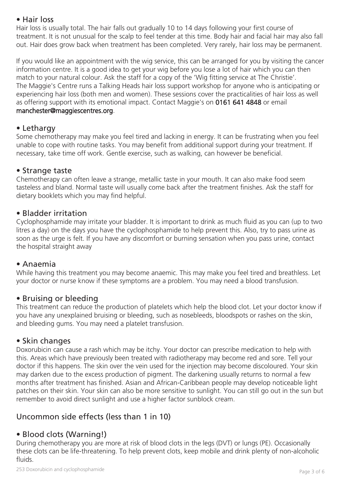## • Hair loss

Hair loss is usually total. The hair falls out gradually 10 to 14 days following your first course of treatment. It is not unusual for the scalp to feel tender at this time. Body hair and facial hair may also fall out. Hair does grow back when treatment has been completed. Very rarely, hair loss may be permanent.

If you would like an appointment with the wig service, this can be arranged for you by visiting the cancer information centre. It is a good idea to get your wig before you lose a lot of hair which you can then match to your natural colour. Ask the staff for a copy of the 'Wig fitting service at The Christie'. The Maggie's Centre runs a Talking Heads hair loss support workshop for anyone who is anticipating or experiencing hair loss (both men and women). These sessions cover the practicalities of hair loss as well as offering support with its emotional impact. Contact Maggie's on 0161 641 4848 or email manchester@maggiescentres.org.

## • Lethargy

Some chemotherapy may make you feel tired and lacking in energy. It can be frustrating when you feel unable to cope with routine tasks. You may benefit from additional support during your treatment. If necessary, take time off work. Gentle exercise, such as walking, can however be beneficial.

#### • Strange taste

Chemotherapy can often leave a strange, metallic taste in your mouth. It can also make food seem tasteless and bland. Normal taste will usually come back after the treatment finishes. Ask the staff for dietary booklets which you may find helpful.

## • Bladder irritation

Cyclophosphamide may irritate your bladder. It is important to drink as much fluid as you can (up to two litres a day) on the days you have the cyclophosphamide to help prevent this. Also, try to pass urine as soon as the urge is felt. If you have any discomfort or burning sensation when you pass urine, contact the hospital straight away

#### • Anaemia

While having this treatment you may become anaemic. This may make you feel tired and breathless. Let your doctor or nurse know if these symptoms are a problem. You may need a blood transfusion.

# • Bruising or bleeding

This treatment can reduce the production of platelets which help the blood clot. Let your doctor know if you have any unexplained bruising or bleeding, such as nosebleeds, bloodspots or rashes on the skin, and bleeding gums. You may need a platelet transfusion.

# • Skin changes

Doxorubicin can cause a rash which may be itchy. Your doctor can prescribe medication to help with this. Areas which have previously been treated with radiotherapy may become red and sore. Tell your doctor if this happens. The skin over the vein used for the injection may become discoloured. Your skin may darken due to the excess production of pigment. The darkening usually returns to normal a few months after treatment has finished. Asian and African-Caribbean people may develop noticeable light patches on their skin. Your skin can also be more sensitive to sunlight. You can still go out in the sun but remember to avoid direct sunlight and use a higher factor sunblock cream.

# Uncommon side effects (less than 1 in 10)

# • Blood clots (Warning!)

During chemotherapy you are more at risk of blood clots in the legs (DVT) or lungs (PE). Occasionally these clots can be life-threatening. To help prevent clots, keep mobile and drink plenty of non-alcoholic fluids.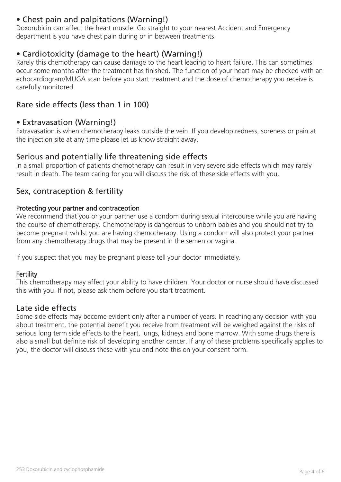# • Chest pain and palpitations (Warning!)

Doxorubicin can affect the heart muscle. Go straight to your nearest Accident and Emergency department is you have chest pain during or in between treatments.

# • Cardiotoxicity (damage to the heart) (Warning!)

Rarely this chemotherapy can cause damage to the heart leading to heart failure. This can sometimes occur some months after the treatment has finished. The function of your heart may be checked with an echocardiogram/MUGA scan before you start treatment and the dose of chemotherapy you receive is carefully monitored.

# Rare side effects (less than 1 in 100)

#### • Extravasation (Warning!)

Extravasation is when chemotherapy leaks outside the vein. If you develop redness, soreness or pain at the injection site at any time please let us know straight away.

## Serious and potentially life threatening side effects

In a small proportion of patients chemotherapy can result in very severe side effects which may rarely result in death. The team caring for you will discuss the risk of these side effects with you.

## Sex, contraception & fertility

#### Protecting your partner and contraception

We recommend that you or your partner use a condom during sexual intercourse while you are having the course of chemotherapy. Chemotherapy is dangerous to unborn babies and you should not try to become pregnant whilst you are having chemotherapy. Using a condom will also protect your partner from any chemotherapy drugs that may be present in the semen or vagina.

If you suspect that you may be pregnant please tell your doctor immediately.

#### **Fertility**

This chemotherapy may affect your ability to have children. Your doctor or nurse should have discussed this with you. If not, please ask them before you start treatment.

#### Late side effects

Some side effects may become evident only after a number of years. In reaching any decision with you about treatment, the potential benefit you receive from treatment will be weighed against the risks of serious long term side effects to the heart, lungs, kidneys and bone marrow. With some drugs there is also a small but definite risk of developing another cancer. If any of these problems specifically applies to you, the doctor will discuss these with you and note this on your consent form.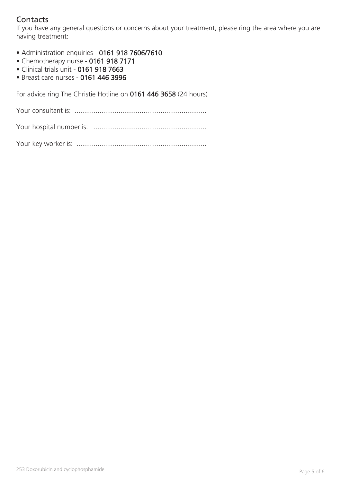# **Contacts**

If you have any general questions or concerns about your treatment, please ring the area where you are having treatment:

- Administration enquiries 0161 918 7606/7610
- Chemotherapy nurse 0161 918 7171
- Clinical trials unit 0161 918 7663
- Breast care nurses 0161 446 3996

For advice ring The Christie Hotline on 0161 446 3658 (24 hours)

Your consultant is: .....................................................................

Your hospital number is: ...........................................................

Your key worker is: ....................................................................